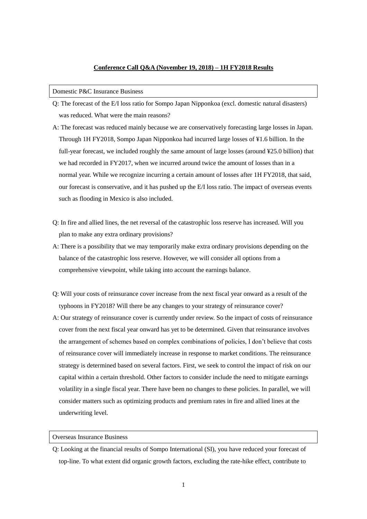## **Conference Call Q&A (November 19, 2018) – 1H FY2018 Results**

## Domestic P&C Insurance Business

- Q: The forecast of the E/I loss ratio for Sompo Japan Nipponkoa (excl. domestic natural disasters) was reduced. What were the main reasons?
- A: The forecast was reduced mainly because we are conservatively forecasting large losses in Japan. Through 1H FY2018, Sompo Japan Nipponkoa had incurred large losses of ¥1.6 billion. In the full-year forecast, we included roughly the same amount of large losses (around ¥25.0 billion) that we had recorded in FY2017, when we incurred around twice the amount of losses than in a normal year. While we recognize incurring a certain amount of losses after 1H FY2018, that said, our forecast is conservative, and it has pushed up the E/I loss ratio. The impact of overseas events such as flooding in Mexico is also included.
- Q: In fire and allied lines, the net reversal of the catastrophic loss reserve has increased. Will you plan to make any extra ordinary provisions?
- A: There is a possibility that we may temporarily make extra ordinary provisions depending on the balance of the catastrophic loss reserve. However, we will consider all options from a comprehensive viewpoint, while taking into account the earnings balance.
- Q: Will your costs of reinsurance cover increase from the next fiscal year onward as a result of the typhoons in FY2018? Will there be any changes to your strategy of reinsurance cover?
- A: Our strategy of reinsurance cover is currently under review. So the impact of costs of reinsurance cover from the next fiscal year onward has yet to be determined. Given that reinsurance involves the arrangement of schemes based on complex combinations of policies, I don't believe that costs of reinsurance cover will immediately increase in response to market conditions. The reinsurance strategy is determined based on several factors. First, we seek to control the impact of risk on our capital within a certain threshold. Other factors to consider include the need to mitigate earnings volatility in a single fiscal year. There have been no changes to these policies. In parallel, we will consider matters such as optimizing products and premium rates in fire and allied lines at the underwriting level.

## Overseas Insurance Business

Q: Looking at the financial results of Sompo International (SI), you have reduced your forecast of top-line. To what extent did organic growth factors, excluding the rate-hike effect, contribute to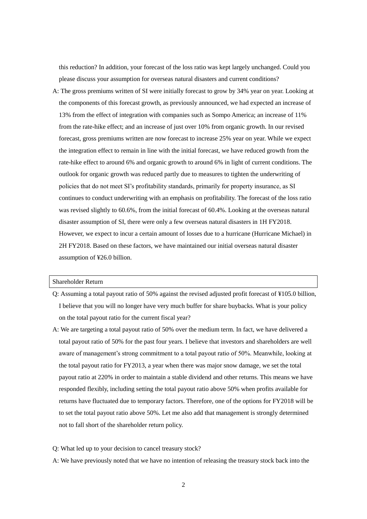this reduction? In addition, your forecast of the loss ratio was kept largely unchanged. Could you please discuss your assumption for overseas natural disasters and current conditions?

A: The gross premiums written of SI were initially forecast to grow by 34% year on year. Looking at the components of this forecast growth, as previously announced, we had expected an increase of 13% from the effect of integration with companies such as Sompo America; an increase of 11% from the rate-hike effect; and an increase of just over 10% from organic growth. In our revised forecast, gross premiums written are now forecast to increase 25% year on year. While we expect the integration effect to remain in line with the initial forecast, we have reduced growth from the rate-hike effect to around 6% and organic growth to around 6% in light of current conditions. The outlook for organic growth was reduced partly due to measures to tighten the underwriting of policies that do not meet SI's profitability standards, primarily for property insurance, as SI continues to conduct underwriting with an emphasis on profitability. The forecast of the loss ratio was revised slightly to 60.6%, from the initial forecast of 60.4%. Looking at the overseas natural disaster assumption of SI, there were only a few overseas natural disasters in 1H FY2018. However, we expect to incur a certain amount of losses due to a hurricane (Hurricane Michael) in 2H FY2018. Based on these factors, we have maintained our initial overseas natural disaster assumption of ¥26.0 billion.

## Shareholder Return

- Q: Assuming a total payout ratio of 50% against the revised adjusted profit forecast of ¥105.0 billion, I believe that you will no longer have very much buffer for share buybacks. What is your policy on the total payout ratio for the current fiscal year?
- A: We are targeting a total payout ratio of 50% over the medium term. In fact, we have delivered a total payout ratio of 50% for the past four years. I believe that investors and shareholders are well aware of management's strong commitment to a total payout ratio of 50%. Meanwhile, looking at the total payout ratio for FY2013, a year when there was major snow damage, we set the total payout ratio at 220% in order to maintain a stable dividend and other returns. This means we have responded flexibly, including setting the total payout ratio above 50% when profits available for returns have fluctuated due to temporary factors. Therefore, one of the options for FY2018 will be to set the total payout ratio above 50%. Let me also add that management is strongly determined not to fall short of the shareholder return policy.
- Q: What led up to your decision to cancel treasury stock?
- A: We have previously noted that we have no intention of releasing the treasury stock back into the